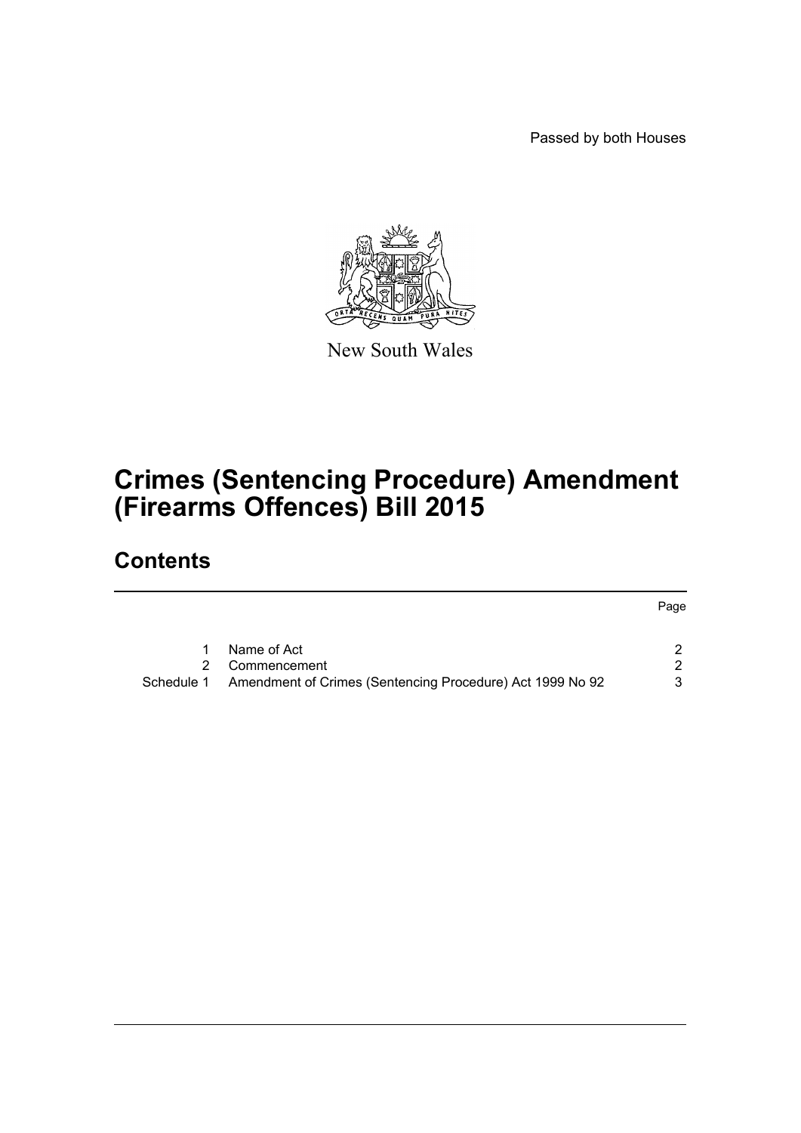Passed by both Houses



New South Wales

# **Crimes (Sentencing Procedure) Amendment (Firearms Offences) Bill 2015**

# **Contents**

|            |                                                           | Page |
|------------|-----------------------------------------------------------|------|
|            | Name of Act                                               |      |
|            | Commencement                                              |      |
| Schedule 1 | Amendment of Crimes (Sentencing Procedure) Act 1999 No 92 | ર    |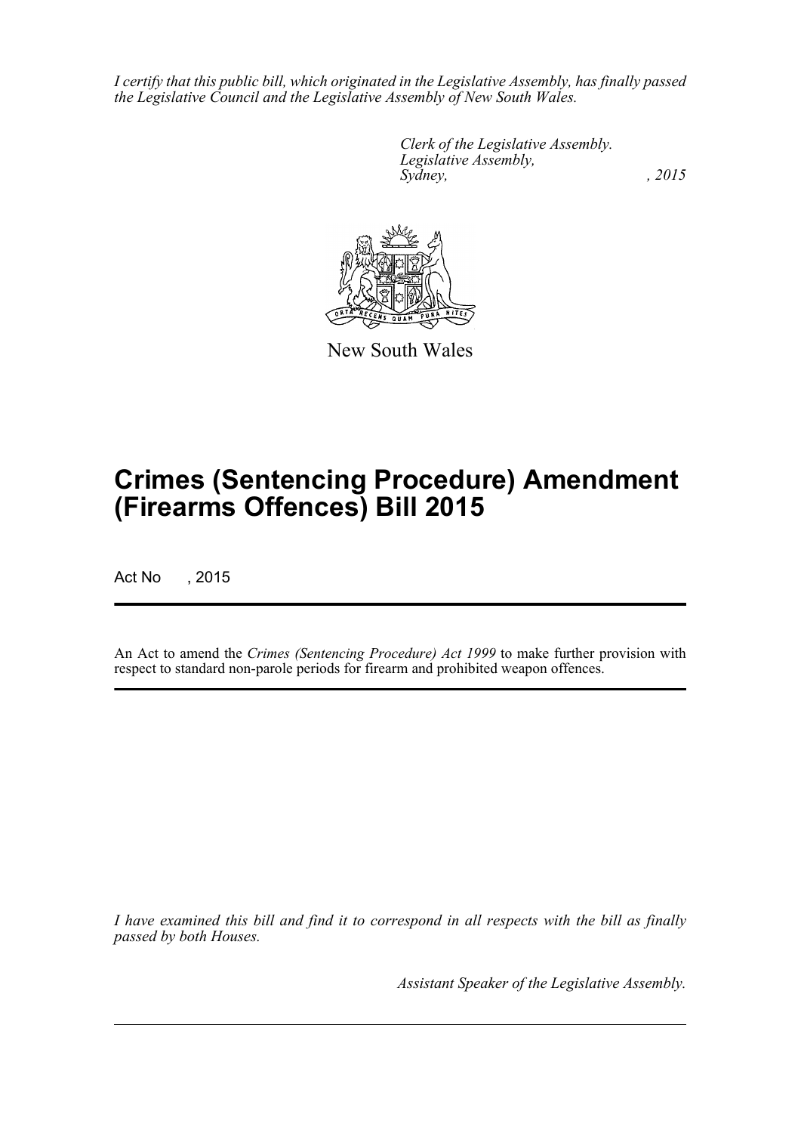*I certify that this public bill, which originated in the Legislative Assembly, has finally passed the Legislative Council and the Legislative Assembly of New South Wales.*

> *Clerk of the Legislative Assembly. Legislative Assembly, Sydney,* , 2015



New South Wales

# **Crimes (Sentencing Procedure) Amendment (Firearms Offences) Bill 2015**

Act No , 2015

An Act to amend the *Crimes (Sentencing Procedure) Act 1999* to make further provision with respect to standard non-parole periods for firearm and prohibited weapon offences.

*I have examined this bill and find it to correspond in all respects with the bill as finally passed by both Houses.*

*Assistant Speaker of the Legislative Assembly.*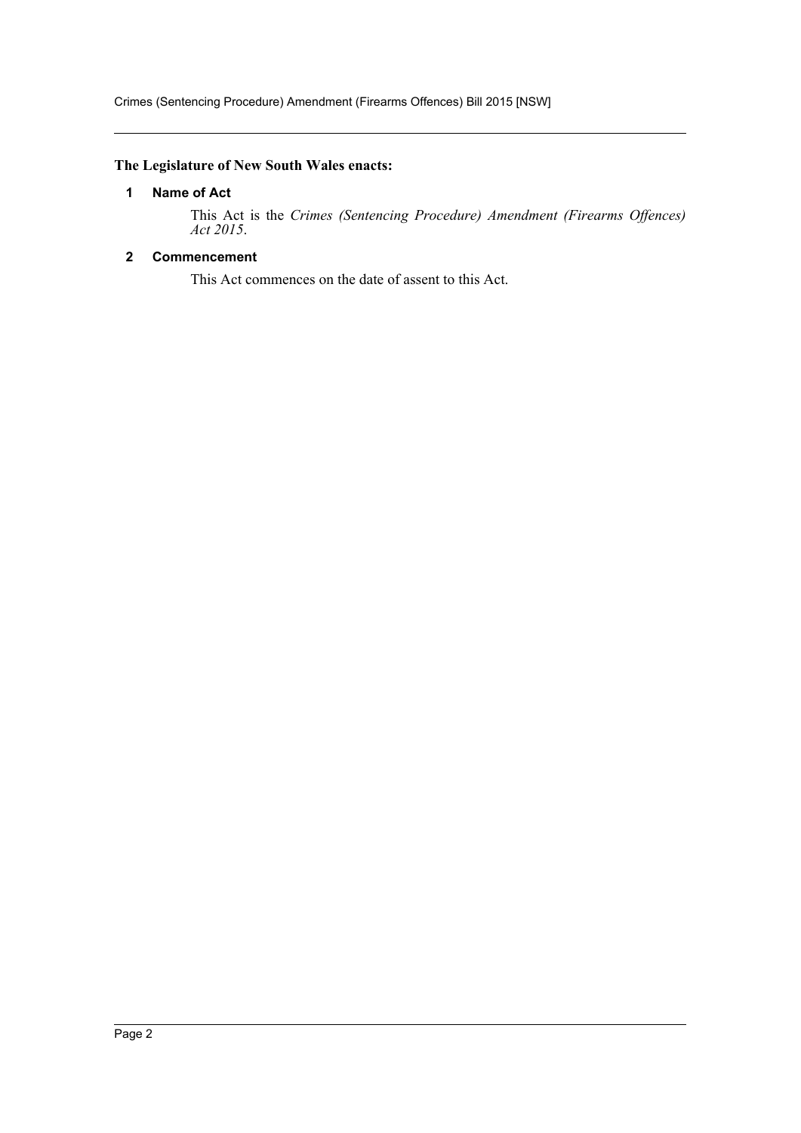## <span id="page-2-0"></span>**The Legislature of New South Wales enacts:**

#### **1 Name of Act**

This Act is the *Crimes (Sentencing Procedure) Amendment (Firearms Offences) Act 2015*.

## <span id="page-2-1"></span>**2 Commencement**

This Act commences on the date of assent to this Act.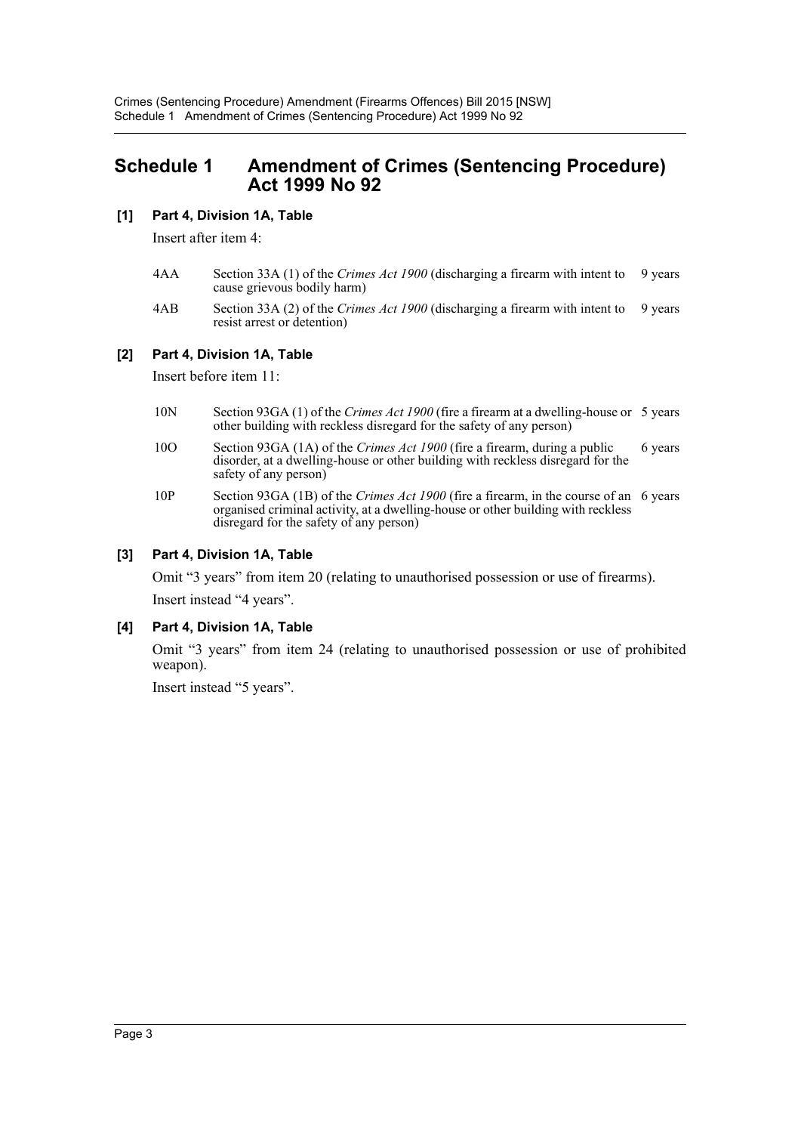# <span id="page-3-0"></span>**Schedule 1 Amendment of Crimes (Sentencing Procedure) Act 1999 No 92**

## **[1] Part 4, Division 1A, Table**

Insert after item 4:

- 4AA Section 33A (1) of the *Crimes Act 1900* (discharging a firearm with intent to cause grievous bodily harm) 9 years
- 4AB Section 33A (2) of the *Crimes Act 1900* (discharging a firearm with intent to resist arrest or detention) 9 years

#### **[2] Part 4, Division 1A, Table**

Insert before item 11:

- 10N Section 93GA (1) of the *Crimes Act 1900* (fire a firearm at a dwelling-house or 5 years other building with reckless disregard for the safety of any person)
- 10O Section 93GA (1A) of the *Crimes Act 1900* (fire a firearm, during a public disorder, at a dwelling-house or other building with reckless disregard for the safety of any person) 6 years
- 10P Section 93GA (1B) of the *Crimes Act 1900* (fire a firearm, in the course of an 6 years organised criminal activity, at a dwelling-house or other building with reckless disregard for the safety of any person)

### **[3] Part 4, Division 1A, Table**

Omit "3 years" from item 20 (relating to unauthorised possession or use of firearms). Insert instead "4 years".

#### **[4] Part 4, Division 1A, Table**

Omit "3 years" from item 24 (relating to unauthorised possession or use of prohibited weapon).

Insert instead "5 years".